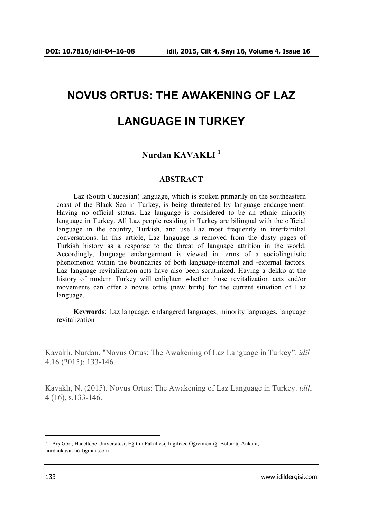# **NOVUS ORTUS: THE AWAKENING OF LAZ LANGUAGE IN TURKEY**

# **Nurdan KAVAKLI <sup>1</sup>**

#### **ABSTRACT**

Laz (South Caucasian) language, which is spoken primarily on the southeastern coast of the Black Sea in Turkey, is being threatened by language endangerment. Having no official status, Laz language is considered to be an ethnic minority language in Turkey. All Laz people residing in Turkey are bilingual with the official language in the country, Turkish, and use Laz most frequently in interfamilial conversations. In this article, Laz language is removed from the dusty pages of Turkish history as a response to the threat of language attrition in the world. Accordingly, language endangerment is viewed in terms of a sociolinguistic phenomenon within the boundaries of both language-internal and -external factors. Laz language revitalization acts have also been scrutinized. Having a dekko at the history of modern Turkey will enlighten whether those revitalization acts and/or movements can offer a novus ortus (new birth) for the current situation of Laz language.

**Keywords**: Laz language, endangered languages, minority languages, language revitalization

Kavaklı, Nurdan. "Novus Ortus: The Awakening of Laz Language in Turkey". *idil* 4.16 (2015): 133-146.

Kavaklı, N. (2015). Novus Ortus: The Awakening of Laz Language in Turkey. *idil*, 4 (16), s.133-146.

 $\frac{1}{1}$  Arş.Gör., Hacettepe Üniversitesi, Eğitim Fakültesi, İngilizce Öğretmenliği Bölümü, Ankara, nurdankavakli(at)gmail.com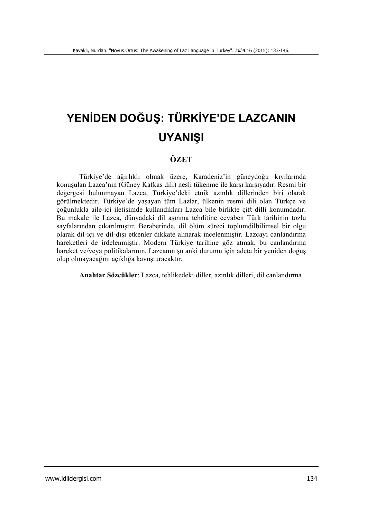# **YENİDEN DOĞUŞ: TÜRKİYE'DE LAZCANIN UYANIŞI**

# **ÖZET**

Türkiye'de ağırlıklı olmak üzere, Karadeniz'in güneydoğu kıyılarında konuşulan Lazca'nın (Güney Kafkas dili) nesli tükenme ile karşı karşıyadır. Resmi bir değergesi bulunmayan Lazca, Türkiye'deki etnik azınlık dillerinden biri olarak görülmektedir. Türkiye'de yaşayan tüm Lazlar, ülkenin resmi dili olan Türkçe ve çoğunlukla aile-içi iletişimde kullandıkları Lazca bile birlikte çift dilli konumdadır. Bu makale ile Lazca, dünyadaki dil aşınma tehditine cevaben Türk tarihinin tozlu sayfalarından çıkarılmıştır. Beraberinde, dil ölüm süreci toplumdilbilimsel bir olgu olarak dil-içi ve dil-dışı etkenler dikkate alınarak incelenmiştir. Lazcayı canlandırma hareketleri de irdelenmiştir. Modern Türkiye tarihine göz atmak, bu canlandırma hareket ve/veya politikalarının, Lazcanın şu anki durumu için adeta bir yeniden doğuş olup olmayacağını açıklığa kavuşturacaktır.

**Anahtar Sözcükler**: Lazca, tehlikedeki diller, azınlık dilleri, dil canlandırma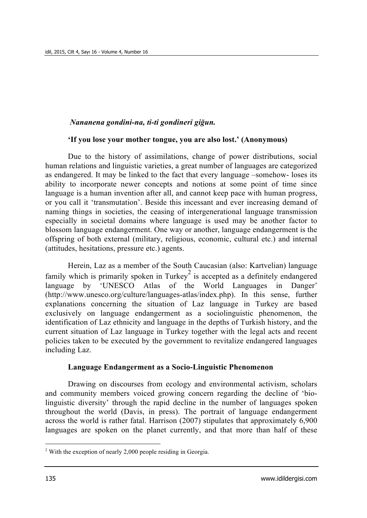#### *Nananena gondini-na, ti-ti gondineri giğun.*

#### **'If you lose your mother tongue, you are also lost.' (Anonymous)**

Due to the history of assimilations, change of power distributions, social human relations and linguistic varieties, a great number of languages are categorized as endangered. It may be linked to the fact that every language –somehow- loses its ability to incorporate newer concepts and notions at some point of time since language is a human invention after all, and cannot keep pace with human progress, or you call it 'transmutation'. Beside this incessant and ever increasing demand of naming things in societies, the ceasing of intergenerational language transmission especially in societal domains where language is used may be another factor to blossom language endangerment. One way or another, language endangerment is the offspring of both external (military, religious, economic, cultural etc.) and internal (attitudes, hesitations, pressure etc.) agents.

Herein, Laz as a member of the South Caucasian (also: Kartvelian) language family which is primarily spoken in Turkey<sup>2</sup> is accepted as a definitely endangered language by 'UNESCO Atlas of the World Languages in Danger' (http://www.unesco.org/culture/languages-atlas/index.php). In this sense, further explanations concerning the situation of Laz language in Turkey are based exclusively on language endangerment as a sociolinguistic phenomenon, the identification of Laz ethnicity and language in the depths of Turkish history, and the current situation of Laz language in Turkey together with the legal acts and recent policies taken to be executed by the government to revitalize endangered languages including Laz.

#### **Language Endangerment as a Socio-Linguistic Phenomenon**

Drawing on discourses from ecology and environmental activism, scholars and community members voiced growing concern regarding the decline of 'biolinguistic diversity' through the rapid decline in the number of languages spoken throughout the world (Davis, in press). The portrait of language endangerment across the world is rather fatal. Harrison (2007) stipulates that approximately 6,900 languages are spoken on the planet currently, and that more than half of these

<sup>&</sup>lt;sup>2</sup> With the exception of nearly 2,000 people residing in Georgia.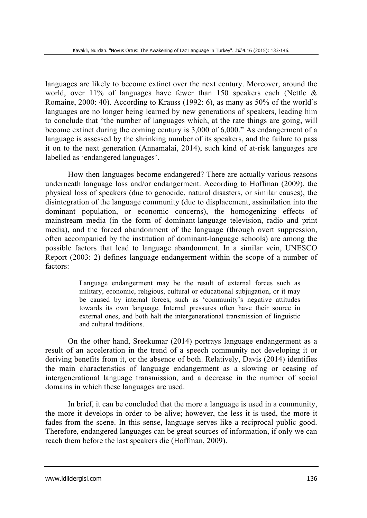languages are likely to become extinct over the next century. Moreover, around the world, over 11% of languages have fewer than 150 speakers each (Nettle  $\&$ Romaine, 2000: 40). According to Krauss (1992: 6), as many as 50% of the world's languages are no longer being learned by new generations of speakers, leading him to conclude that "the number of languages which, at the rate things are going, will become extinct during the coming century is 3,000 of 6,000." As endangerment of a language is assessed by the shrinking number of its speakers, and the failure to pass it on to the next generation (Annamalai, 2014), such kind of at-risk languages are labelled as 'endangered languages'.

How then languages become endangered? There are actually various reasons underneath language loss and/or endangerment. According to Hoffman (2009), the physical loss of speakers (due to genocide, natural disasters, or similar causes), the disintegration of the language community (due to displacement, assimilation into the dominant population, or economic concerns), the homogenizing effects of mainstream media (in the form of dominant-language television, radio and print media), and the forced abandonment of the language (through overt suppression, often accompanied by the institution of dominant-language schools) are among the possible factors that lead to language abandonment. In a similar vein, UNESCO Report (2003: 2) defines language endangerment within the scope of a number of factors:

> Language endangerment may be the result of external forces such as military, economic, religious, cultural or educational subjugation, or it may be caused by internal forces, such as 'community's negative attitudes towards its own language. Internal pressures often have their source in external ones, and both halt the intergenerational transmission of linguistic and cultural traditions.

On the other hand, Sreekumar (2014) portrays language endangerment as a result of an acceleration in the trend of a speech community not developing it or deriving benefits from it, or the absence of both. Relatively, Davis (2014) identifies the main characteristics of language endangerment as a slowing or ceasing of intergenerational language transmission, and a decrease in the number of social domains in which these languages are used.

In brief, it can be concluded that the more a language is used in a community, the more it develops in order to be alive; however, the less it is used, the more it fades from the scene. In this sense, language serves like a reciprocal public good. Therefore, endangered languages can be great sources of information, if only we can reach them before the last speakers die (Hoffman, 2009).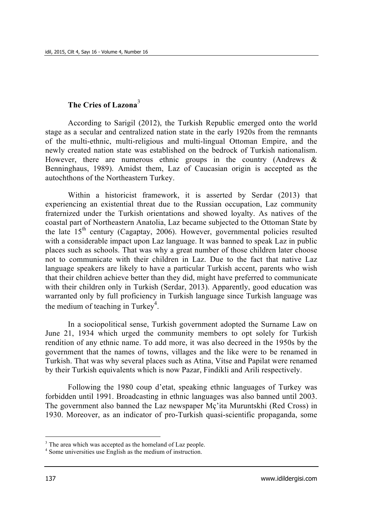# **The Cries of Lazona**<sup>3</sup>

According to Sarigil (2012), the Turkish Republic emerged onto the world stage as a secular and centralized nation state in the early 1920s from the remnants of the multi-ethnic, multi-religious and multi-lingual Ottoman Empire, and the newly created nation state was established on the bedrock of Turkish nationalism. However, there are numerous ethnic groups in the country (Andrews  $\&$ Benninghaus, 1989). Amidst them, Laz of Caucasian origin is accepted as the autochthons of the Northeastern Turkey.

Within a historicist framework, it is asserted by Serdar (2013) that experiencing an existential threat due to the Russian occupation, Laz community fraternized under the Turkish orientations and showed loyalty. As natives of the coastal part of Northeastern Anatolia, Laz became subjected to the Ottoman State by the late  $15<sup>th</sup>$  century (Cagaptay, 2006). However, governmental policies resulted with a considerable impact upon Laz language. It was banned to speak Laz in public places such as schools. That was why a great number of those children later choose not to communicate with their children in Laz. Due to the fact that native Laz language speakers are likely to have a particular Turkish accent, parents who wish that their children achieve better than they did, might have preferred to communicate with their children only in Turkish (Serdar, 2013). Apparently, good education was warranted only by full proficiency in Turkish language since Turkish language was the medium of teaching in Turkey<sup>4</sup>.

In a sociopolitical sense, Turkish government adopted the Surname Law on June 21, 1934 which urged the community members to opt solely for Turkish rendition of any ethnic name. To add more, it was also decreed in the 1950s by the government that the names of towns, villages and the like were to be renamed in Turkish. That was why several places such as Atina, Vitse and Papilat were renamed by their Turkish equivalents which is now Pazar, Findikli and Arili respectively.

Following the 1980 coup d'etat, speaking ethnic languages of Turkey was forbidden until 1991. Broadcasting in ethnic languages was also banned until 2003. The government also banned the Laz newspaper Mç'ita Muruntskhi (Red Cross) in 1930. Moreover, as an indicator of pro-Turkish quasi-scientific propaganda, some

<sup>&</sup>lt;sup>3</sup> The area which was accepted as the homeland of Laz people.

<sup>4</sup> Some universities use English as the medium of instruction.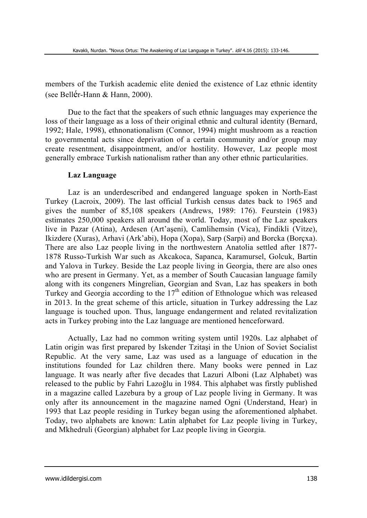members of the Turkish academic elite denied the existence of Laz ethnic identity (see Bellér-Hann & Hann, 2000).

Due to the fact that the speakers of such ethnic languages may experience the loss of their language as a loss of their original ethnic and cultural identity (Bernard, 1992; Hale, 1998), ethnonationalism (Connor, 1994) might mushroom as a reaction to governmental acts since deprivation of a certain community and/or group may create resentment, disappointment, and/or hostility. However, Laz people most generally embrace Turkish nationalism rather than any other ethnic particularities.

#### **Laz Language**

Laz is an underdescribed and endangered language spoken in North-East Turkey (Lacroix, 2009). The last official Turkish census dates back to 1965 and gives the number of 85,108 speakers (Andrews, 1989: 176). Feurstein (1983) estimates 250,000 speakers all around the world. Today, most of the Laz speakers live in Pazar (Atina), Ardesen (Art'aşeni), Camlihemsin (Vica), Findikli (Vitze), Ikizdere (Xuras), Arhavi (Ark'abi), Hopa (Xopa), Sarp (Sarpi) and Borcka (Borçxa). There are also Laz people living in the northwestern Anatolia settled after 1877- 1878 Russo-Turkish War such as Akcakoca, Sapanca, Karamursel, Golcuk, Bartin and Yalova in Turkey. Beside the Laz people living in Georgia, there are also ones who are present in Germany. Yet, as a member of South Caucasian language family along with its congeners Mingrelian, Georgian and Svan, Laz has speakers in both Turkey and Georgia according to the  $17<sup>th</sup>$  edition of Ethnologue which was released in 2013. In the great scheme of this article, situation in Turkey addressing the Laz language is touched upon. Thus, language endangerment and related revitalization acts in Turkey probing into the Laz language are mentioned henceforward.

Actually, Laz had no common writing system until 1920s. Laz alphabet of Latin origin was first prepared by Iskender Tzitaşi in the Union of Soviet Socialist Republic. At the very same, Laz was used as a language of education in the institutions founded for Laz children there. Many books were penned in Laz language. It was nearly after five decades that Lazuri Alboni (Laz Alphabet) was released to the public by Fahri Lazoğlu in 1984. This alphabet was firstly published in a magazine called Lazebura by a group of Laz people living in Germany. It was only after its announcement in the magazine named Ogni (Understand, Hear) in 1993 that Laz people residing in Turkey began using the aforementioned alphabet. Today, two alphabets are known: Latin alphabet for Laz people living in Turkey, and Mkhedruli (Georgian) alphabet for Laz people living in Georgia.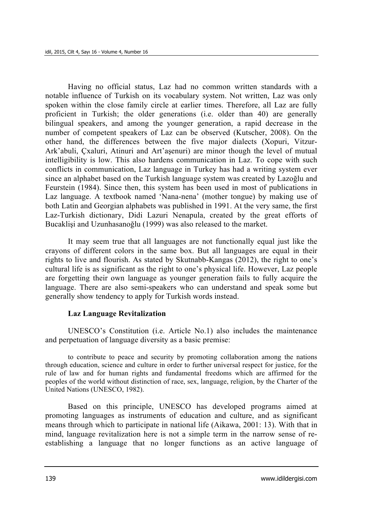Having no official status, Laz had no common written standards with a notable influence of Turkish on its vocabulary system. Not written, Laz was only spoken within the close family circle at earlier times. Therefore, all Laz are fully proficient in Turkish; the older generations (i.e. older than 40) are generally bilingual speakers, and among the younger generation, a rapid decrease in the number of competent speakers of Laz can be observed (Kutscher, 2008). On the other hand, the differences between the five major dialects (Xopuri, Vitzur-Ark'abuli, Çxaluri, Atinuri and Art'aşenuri) are minor though the level of mutual intelligibility is low. This also hardens communication in Laz. To cope with such conflicts in communication, Laz language in Turkey has had a writing system ever since an alphabet based on the Turkish language system was created by Lazoğlu and Feurstein (1984). Since then, this system has been used in most of publications in Laz language. A textbook named 'Nana-nena' (mother tongue) by making use of both Latin and Georgian alphabets was published in 1991. At the very same, the first Laz-Turkish dictionary, Didi Lazuri Nenapula, created by the great efforts of Bucaklişi and Uzunhasanoğlu (1999) was also released to the market.

It may seem true that all languages are not functionally equal just like the crayons of different colors in the same box. But all languages are equal in their rights to live and flourish. As stated by Skutnabb-Kangas (2012), the right to one's cultural life is as significant as the right to one's physical life. However, Laz people are forgetting their own language as younger generation fails to fully acquire the language. There are also semi-speakers who can understand and speak some but generally show tendency to apply for Turkish words instead.

#### **Laz Language Revitalization**

UNESCO's Constitution (i.e. Article No.1) also includes the maintenance and perpetuation of language diversity as a basic premise:

to contribute to peace and security by promoting collaboration among the nations through education, science and culture in order to further universal respect for justice, for the rule of law and for human rights and fundamental freedoms which are affirmed for the peoples of the world without distinction of race, sex, language, religion, by the Charter of the United Nations (UNESCO, 1982).

Based on this principle, UNESCO has developed programs aimed at promoting languages as instruments of education and culture, and as significant means through which to participate in national life (Aikawa, 2001: 13). With that in mind, language revitalization here is not a simple term in the narrow sense of reestablishing a language that no longer functions as an active language of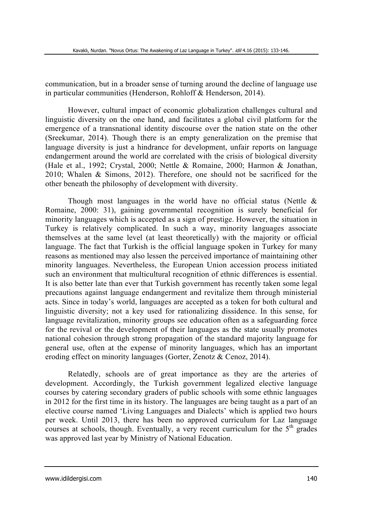communication, but in a broader sense of turning around the decline of language use in particular communities (Henderson, Rohloff & Henderson, 2014).

However, cultural impact of economic globalization challenges cultural and linguistic diversity on the one hand, and facilitates a global civil platform for the emergence of a transnational identity discourse over the nation state on the other (Sreekumar, 2014). Though there is an empty generalization on the premise that language diversity is just a hindrance for development, unfair reports on language endangerment around the world are correlated with the crisis of biological diversity (Hale et al., 1992; Crystal, 2000; Nettle & Romaine, 2000; Harmon & Jonathan, 2010; Whalen & Simons, 2012). Therefore, one should not be sacrificed for the other beneath the philosophy of development with diversity.

Though most languages in the world have no official status (Nettle  $\&$ Romaine, 2000: 31), gaining governmental recognition is surely beneficial for minority languages which is accepted as a sign of prestige. However, the situation in Turkey is relatively complicated. In such a way, minority languages associate themselves at the same level (at least theoretically) with the majority or official language. The fact that Turkish is the official language spoken in Turkey for many reasons as mentioned may also lessen the perceived importance of maintaining other minority languages. Nevertheless, the European Union accession process initiated such an environment that multicultural recognition of ethnic differences is essential. It is also better late than ever that Turkish government has recently taken some legal precautions against language endangerment and revitalize them through ministerial acts. Since in today's world, languages are accepted as a token for both cultural and linguistic diversity; not a key used for rationalizing dissidence. In this sense, for language revitalization, minority groups see education often as a safeguarding force for the revival or the development of their languages as the state usually promotes national cohesion through strong propagation of the standard majority language for general use, often at the expense of minority languages, which has an important eroding effect on minority languages (Gorter, Zenotz & Cenoz, 2014).

Relatedly, schools are of great importance as they are the arteries of development. Accordingly, the Turkish government legalized elective language courses by catering secondary graders of public schools with some ethnic languages in 2012 for the first time in its history. The languages are being taught as a part of an elective course named 'Living Languages and Dialects' which is applied two hours per week. Until 2013, there has been no approved curriculum for Laz language courses at schools, though. Eventually, a very recent curriculum for the  $5<sup>th</sup>$  grades was approved last year by Ministry of National Education.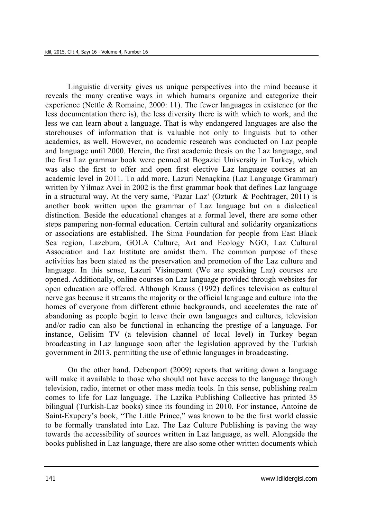Linguistic diversity gives us unique perspectives into the mind because it reveals the many creative ways in which humans organize and categorize their experience (Nettle & Romaine, 2000: 11). The fewer languages in existence (or the less documentation there is), the less diversity there is with which to work, and the less we can learn about a language. That is why endangered languages are also the storehouses of information that is valuable not only to linguists but to other academics, as well. However, no academic research was conducted on Laz people and language until 2000. Herein, the first academic thesis on the Laz language, and the first Laz grammar book were penned at Bogazici University in Turkey, which was also the first to offer and open first elective Laz language courses at an academic level in 2011. To add more, Lazuri Nenaçkina (Laz Language Grammar) written by Yilmaz Avci in 2002 is the first grammar book that defines Laz language in a structural way. At the very same, 'Pazar Laz' (Ozturk & Pochtrager, 2011) is another book written upon the grammar of Laz language but on a dialectical distinction. Beside the educational changes at a formal level, there are some other steps pampering non-formal education. Certain cultural and solidarity organizations or associations are established. The Sima Foundation for people from East Black Sea region, Lazebura, GOLA Culture, Art and Ecology NGO, Laz Cultural Association and Laz Institute are amidst them. The common purpose of these activities has been stated as the preservation and promotion of the Laz culture and language. In this sense, Lazuri Visinapamt (We are speaking Laz) courses are opened. Additionally, online courses on Laz language provided through websites for open education are offered. Although Krauss (1992) defines television as cultural nerve gas because it streams the majority or the official language and culture into the homes of everyone from different ethnic backgrounds, and accelerates the rate of abandoning as people begin to leave their own languages and cultures, television and/or radio can also be functional in enhancing the prestige of a language. For instance, Gelisim TV (a television channel of local level) in Turkey began broadcasting in Laz language soon after the legislation approved by the Turkish government in 2013, permitting the use of ethnic languages in broadcasting.

On the other hand, Debenport (2009) reports that writing down a language will make it available to those who should not have access to the language through television, radio, internet or other mass media tools. In this sense, publishing realm comes to life for Laz language. The Lazika Publishing Collective has printed 35 bilingual (Turkish-Laz books) since its founding in 2010. For instance, Antoine de Saint-Exupery's book, "The Little Prince," was known to be the first world classic to be formally translated into Laz. The Laz Culture Publishing is paving the way towards the accessibility of sources written in Laz language, as well. Alongside the books published in Laz language, there are also some other written documents which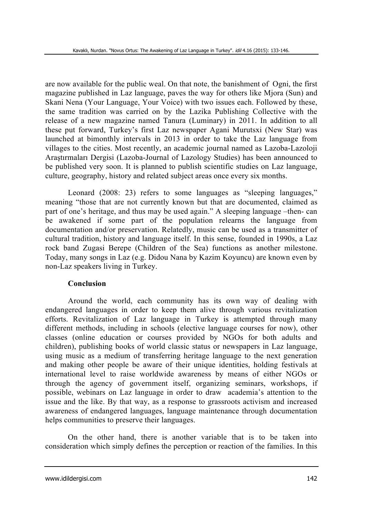are now available for the public weal. On that note, the banishment of Ogni, the first magazine published in Laz language, paves the way for others like Mjora (Sun) and Skani Nena (Your Language, Your Voice) with two issues each. Followed by these, the same tradition was carried on by the Lazika Publishing Collective with the release of a new magazine named Tanura (Luminary) in 2011. In addition to all these put forward, Turkey's first Laz newspaper Agani Murutsxi (New Star) was launched at bimonthly intervals in 2013 in order to take the Laz language from villages to the cities. Most recently, an academic journal named as Lazoba-Lazoloji Araştırmaları Dergisi (Lazoba-Journal of Lazology Studies) has been announced to be published very soon. It is planned to publish scientific studies on Laz language, culture, geography, history and related subject areas once every six months.

Leonard (2008: 23) refers to some languages as "sleeping languages," meaning "those that are not currently known but that are documented, claimed as part of one's heritage, and thus may be used again." A sleeping language –then- can be awakened if some part of the population relearns the language from documentation and/or preservation. Relatedly, music can be used as a transmitter of cultural tradition, history and language itself. In this sense, founded in 1990s, a Laz rock band Zugasi Berepe (Children of the Sea) functions as another milestone. Today, many songs in Laz (e.g. Didou Nana by Kazim Koyuncu) are known even by non-Laz speakers living in Turkey.

#### **Conclusion**

Around the world, each community has its own way of dealing with endangered languages in order to keep them alive through various revitalization efforts. Revitalization of Laz language in Turkey is attempted through many different methods, including in schools (elective language courses for now), other classes (online education or courses provided by NGOs for both adults and children), publishing books of world classic status or newspapers in Laz language, using music as a medium of transferring heritage language to the next generation and making other people be aware of their unique identities, holding festivals at international level to raise worldwide awareness by means of either NGOs or through the agency of government itself, organizing seminars, workshops, if possible, webinars on Laz language in order to draw academia's attention to the issue and the like. By that way, as a response to grassroots activism and increased awareness of endangered languages, language maintenance through documentation helps communities to preserve their languages.

On the other hand, there is another variable that is to be taken into consideration which simply defines the perception or reaction of the families. In this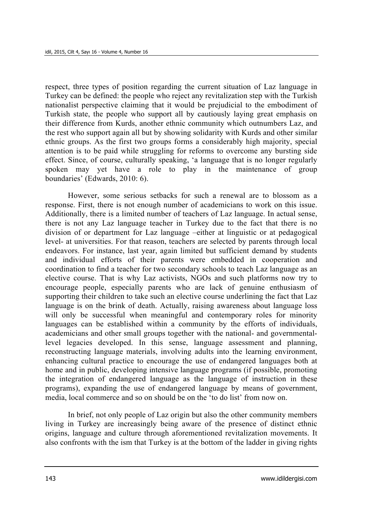respect, three types of position regarding the current situation of Laz language in Turkey can be defined: the people who reject any revitalization step with the Turkish nationalist perspective claiming that it would be prejudicial to the embodiment of Turkish state, the people who support all by cautiously laying great emphasis on their difference from Kurds, another ethnic community which outnumbers Laz, and the rest who support again all but by showing solidarity with Kurds and other similar ethnic groups. As the first two groups forms a considerably high majority, special attention is to be paid while struggling for reforms to overcome any bursting side effect. Since, of course, culturally speaking, 'a language that is no longer regularly spoken may yet have a role to play in the maintenance of group boundaries' (Edwards, 2010: 6).

However, some serious setbacks for such a renewal are to blossom as a response. First, there is not enough number of academicians to work on this issue. Additionally, there is a limited number of teachers of Laz language. In actual sense, there is not any Laz language teacher in Turkey due to the fact that there is no division of or department for Laz language –either at linguistic or at pedagogical level- at universities. For that reason, teachers are selected by parents through local endeavors. For instance, last year, again limited but sufficient demand by students and individual efforts of their parents were embedded in cooperation and coordination to find a teacher for two secondary schools to teach Laz language as an elective course. That is why Laz activists, NGOs and such platforms now try to encourage people, especially parents who are lack of genuine enthusiasm of supporting their children to take such an elective course underlining the fact that Laz language is on the brink of death. Actually, raising awareness about language loss will only be successful when meaningful and contemporary roles for minority languages can be established within a community by the efforts of individuals, academicians and other small groups together with the national- and governmentallevel legacies developed. In this sense, language assessment and planning, reconstructing language materials, involving adults into the learning environment, enhancing cultural practice to encourage the use of endangered languages both at home and in public, developing intensive language programs (if possible, promoting the integration of endangered language as the language of instruction in these programs), expanding the use of endangered language by means of government, media, local commerce and so on should be on the 'to do list' from now on.

In brief, not only people of Laz origin but also the other community members living in Turkey are increasingly being aware of the presence of distinct ethnic origins, language and culture through aforementioned revitalization movements. It also confronts with the ism that Turkey is at the bottom of the ladder in giving rights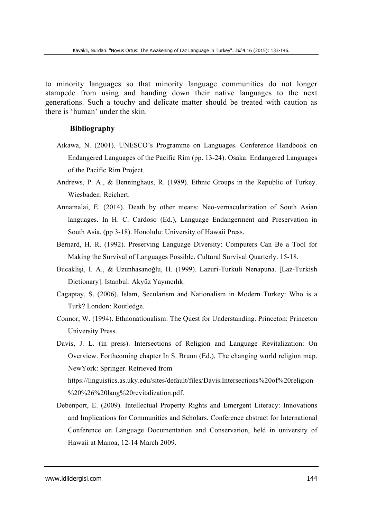to minority languages so that minority language communities do not longer stampede from using and handing down their native languages to the next generations. Such a touchy and delicate matter should be treated with caution as there is 'human' under the skin.

#### **Bibliography**

- Aikawa, N. (2001). UNESCO's Programme on Languages. Conference Handbook on Endangered Languages of the Pacific Rim (pp. 13-24). Osaka: Endangered Languages of the Pacific Rim Project.
- Andrews, P. A., & Benninghaus, R. (1989). Ethnic Groups in the Republic of Turkey. Wiesbaden: Reichert.
- Annamalai, E. (2014). Death by other means: Neo-vernacularization of South Asian languages. In H. C. Cardoso (Ed.), Language Endangerment and Preservation in South Asia. (pp 3-18). Honolulu: University of Hawaii Press.
- Bernard, H. R. (1992). Preserving Language Diversity: Computers Can Be a Tool for Making the Survival of Languages Possible. Cultural Survival Quarterly. 15-18.
- Bucaklişi, I. A., & Uzunhasanoğlu, H. (1999). Lazuri-Turkuli Nenapuna. [Laz-Turkish Dictionary]. Istanbul: Akyüz Yayıncılık.
- Cagaptay, S. (2006). Islam, Secularism and Nationalism in Modern Turkey: Who is a Turk? London: Routledge.
- Connor, W. (1994). Ethnonationalism: The Quest for Understanding. Princeton: Princeton University Press.

Davis, J. L. (in press). Intersections of Religion and Language Revitalization: On Overview. Forthcoming chapter In S. Brunn (Ed.), The changing world religion map. NewYork: Springer. Retrieved from https://linguistics.as.uky.edu/sites/default/files/Davis.Intersections%20of%20religion %20%26%20lang%20revitalization.pdf.

Debenport, E. (2009). Intellectual Property Rights and Emergent Literacy: Innovations and Implications for Communities and Scholars. Conference abstract for International Conference on Language Documentation and Conservation, held in university of Hawaii at Manoa, 12-14 March 2009.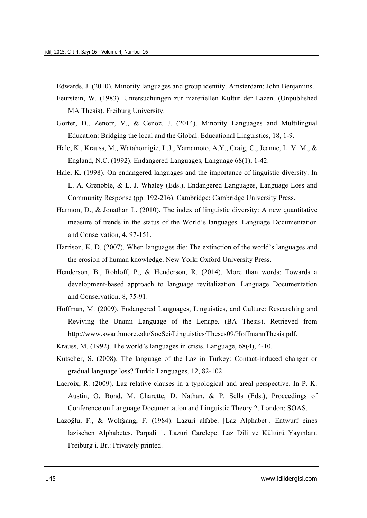Edwards, J. (2010). Minority languages and group identity. Amsterdam: John Benjamins.

Feurstein, W. (1983). Untersuchungen zur materiellen Kultur der Lazen. (Unpublished MA Thesis). Freiburg University.

- Gorter, D., Zenotz, V., & Cenoz, J. (2014). Minority Languages and Multilingual Education: Bridging the local and the Global. Educational Linguistics, 18, 1-9.
- Hale, K., Krauss, M., Watahomigie, L.J., Yamamoto, A.Y., Craig, C., Jeanne, L. V. M., & England, N.C. (1992). Endangered Languages, Language 68(1), 1-42.
- Hale, K. (1998). On endangered languages and the importance of linguistic diversity. In L. A. Grenoble, & L. J. Whaley (Eds.), Endangered Languages, Language Loss and Community Response (pp. 192-216). Cambridge: Cambridge University Press.
- Harmon, D., & Jonathan L. (2010). The index of linguistic diversity: A new quantitative measure of trends in the status of the World's languages. Language Documentation and Conservation, 4, 97-151.
- Harrison, K. D. (2007). When languages die: The extinction of the world's languages and the erosion of human knowledge. New York: Oxford University Press.
- Henderson, B., Rohloff, P., & Henderson, R. (2014). More than words: Towards a development-based approach to language revitalization. Language Documentation and Conservation. 8, 75-91.
- Hoffman, M. (2009). Endangered Languages, Linguistics, and Culture: Researching and Reviving the Unami Language of the Lenape. (BA Thesis). Retrieved from http://www.swarthmore.edu/SocSci/Linguistics/Theses09/HoffmannThesis.pdf.

Krauss, M. (1992). The world's languages in crisis. Language, 68(4), 4-10.

- Kutscher, S. (2008). The language of the Laz in Turkey: Contact-induced changer or gradual language loss? Turkic Languages, 12, 82-102.
- Lacroix, R. (2009). Laz relative clauses in a typological and areal perspective. In P. K. Austin, O. Bond, M. Charette, D. Nathan, & P. Sells (Eds.), Proceedings of Conference on Language Documentation and Linguistic Theory 2. London: SOAS.
- Lazoğlu, F., & Wolfgang, F. (1984). Lazuri alfabe. [Laz Alphabet]. Entwurf eines lazischen Alphabetes. Parpali 1. Lazuri Carelepe. Laz Dili ve Kültürü Yayınları. Freiburg i. Br.: Privately printed.